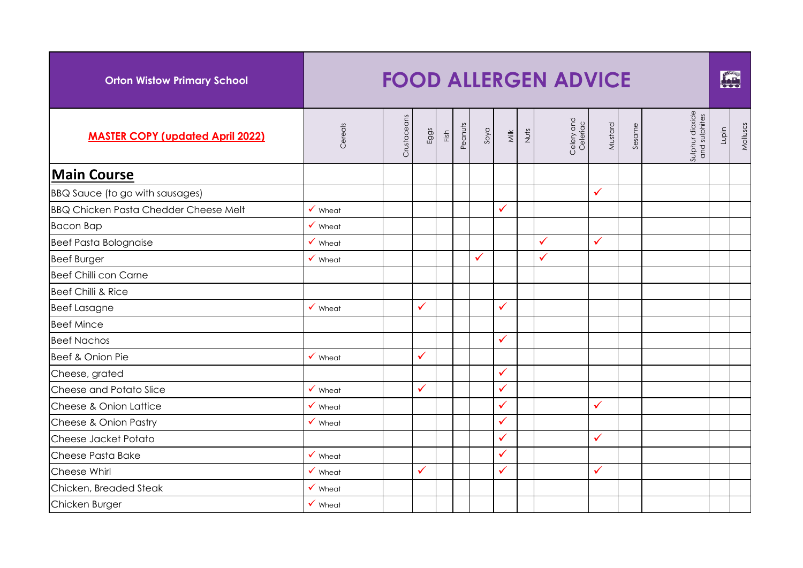| <b>Orton Wistow Primary School</b>           |                    |             |      |      |         |      |              |      | <b>FOOD ALLERGEN ADVICE</b> |              |        |                                  |       | FAR      |
|----------------------------------------------|--------------------|-------------|------|------|---------|------|--------------|------|-----------------------------|--------------|--------|----------------------------------|-------|----------|
| <b>MASTER COPY (updated April 2022)</b>      | Cereals            | Crustaceans | Eggs | Fish | Peanuts | Soya | Milk         | Nuts | Celery and<br>Celeriac      | Mustard      | Sesame | Sulphur dioxide<br>and sulphites | Lupin | Molluscs |
| <b>Main Course</b>                           |                    |             |      |      |         |      |              |      |                             |              |        |                                  |       |          |
| BBQ Sauce (to go with sausages)              |                    |             |      |      |         |      |              |      |                             | $\checkmark$ |        |                                  |       |          |
| <b>BBQ Chicken Pasta Chedder Cheese Melt</b> | $\checkmark$ Wheat |             |      |      |         |      | $\checkmark$ |      |                             |              |        |                                  |       |          |
| <b>Bacon Bap</b>                             | $\checkmark$ Wheat |             |      |      |         |      |              |      |                             |              |        |                                  |       |          |
| <b>Beef Pasta Bolognaise</b>                 | $\checkmark$ Wheat |             |      |      |         |      |              |      | $\checkmark$                | $\checkmark$ |        |                                  |       |          |
| <b>Beef Burger</b>                           | $\checkmark$ Wheat |             |      |      |         | ✓    |              |      | $\checkmark$                |              |        |                                  |       |          |
| Beef Chilli con Carne                        |                    |             |      |      |         |      |              |      |                             |              |        |                                  |       |          |
| Beef Chilli & Rice                           |                    |             |      |      |         |      |              |      |                             |              |        |                                  |       |          |
| <b>Beef Lasagne</b>                          | $\checkmark$ Wheat |             | ✓    |      |         |      | $\checkmark$ |      |                             |              |        |                                  |       |          |
| <b>Beef Mince</b>                            |                    |             |      |      |         |      |              |      |                             |              |        |                                  |       |          |
| <b>Beef Nachos</b>                           |                    |             |      |      |         |      | $\checkmark$ |      |                             |              |        |                                  |       |          |
| Beef & Onion Pie                             | $\checkmark$ Wheat |             | ✓    |      |         |      |              |      |                             |              |        |                                  |       |          |
| Cheese, grated                               |                    |             |      |      |         |      | $\checkmark$ |      |                             |              |        |                                  |       |          |
| Cheese and Potato Slice                      | $\checkmark$ Wheat |             | ✓    |      |         |      | $\checkmark$ |      |                             |              |        |                                  |       |          |
| Cheese & Onion Lattice                       | $\checkmark$ Wheat |             |      |      |         |      | $\checkmark$ |      |                             | $\checkmark$ |        |                                  |       |          |
| Cheese & Onion Pastry                        | $\checkmark$ Wheat |             |      |      |         |      | $\checkmark$ |      |                             |              |        |                                  |       |          |
| Cheese Jacket Potato                         |                    |             |      |      |         |      | $\checkmark$ |      |                             | $\checkmark$ |        |                                  |       |          |
| Cheese Pasta Bake                            | $\checkmark$ Wheat |             |      |      |         |      | $\checkmark$ |      |                             |              |        |                                  |       |          |
| Cheese Whirl                                 | $\checkmark$ Wheat |             | ✓    |      |         |      | $\checkmark$ |      |                             | $\checkmark$ |        |                                  |       |          |
| Chicken, Breaded Steak                       | $\checkmark$ Wheat |             |      |      |         |      |              |      |                             |              |        |                                  |       |          |
| Chicken Burger                               | $\checkmark$ Wheat |             |      |      |         |      |              |      |                             |              |        |                                  |       |          |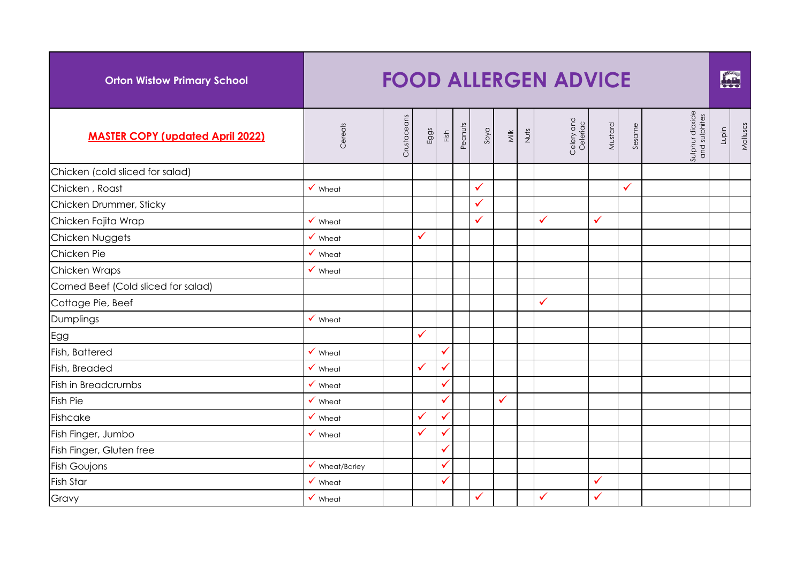| <b>Orton Wistow Primary School</b>      |                           |             |              |              |         |      |      |      | <b>FOOD ALLERGEN ADVICE</b> |              |        |                                  |       | FAR      |
|-----------------------------------------|---------------------------|-------------|--------------|--------------|---------|------|------|------|-----------------------------|--------------|--------|----------------------------------|-------|----------|
| <b>MASTER COPY (updated April 2022)</b> | Cereals                   | Crustaceans | Eggs         | Fish         | Peanuts | DVOS | Milk | Nuts | Celery and<br>Celeriac      | Mustard      | Sesame | Sulphur dioxide<br>and sulphites | Lupin | Molluscs |
| Chicken (cold sliced for salad)         |                           |             |              |              |         |      |      |      |                             |              |        |                                  |       |          |
| Chicken, Roast                          | $\checkmark$ Wheat        |             |              |              |         | ✓    |      |      |                             |              | ✓      |                                  |       |          |
| Chicken Drummer, Sticky                 |                           |             |              |              |         | ✓    |      |      |                             |              |        |                                  |       |          |
| Chicken Fajita Wrap                     | $\checkmark$ Wheat        |             |              |              |         | ✓    |      |      | $\checkmark$                | $\checkmark$ |        |                                  |       |          |
| Chicken Nuggets                         | $\checkmark$ Wheat        |             | ✓            |              |         |      |      |      |                             |              |        |                                  |       |          |
| Chicken Pie                             | $\checkmark$ Wheat        |             |              |              |         |      |      |      |                             |              |        |                                  |       |          |
| Chicken Wraps                           | $\checkmark$ Wheat        |             |              |              |         |      |      |      |                             |              |        |                                  |       |          |
| Corned Beef (Cold sliced for salad)     |                           |             |              |              |         |      |      |      |                             |              |        |                                  |       |          |
| Cottage Pie, Beef                       |                           |             |              |              |         |      |      |      | $\checkmark$                |              |        |                                  |       |          |
| Dumplings                               | $\checkmark$ Wheat        |             |              |              |         |      |      |      |                             |              |        |                                  |       |          |
| Egg                                     |                           |             | $\checkmark$ |              |         |      |      |      |                             |              |        |                                  |       |          |
| Fish, Battered                          | $\checkmark$ Wheat        |             |              |              |         |      |      |      |                             |              |        |                                  |       |          |
| Fish, Breaded                           | $\checkmark$ Wheat        |             | $\checkmark$ | ✓            |         |      |      |      |                             |              |        |                                  |       |          |
| Fish in Breadcrumbs                     | $\checkmark$ Wheat        |             |              | ✓            |         |      |      |      |                             |              |        |                                  |       |          |
| <b>Fish Pie</b>                         | $\checkmark$ Wheat        |             |              | ✓            |         |      | ✓    |      |                             |              |        |                                  |       |          |
| Fishcake                                | $\checkmark$ Wheat        |             | ✓            | ✓            |         |      |      |      |                             |              |        |                                  |       |          |
| Fish Finger, Jumbo                      | $\checkmark$ Wheat        |             | ✓            |              |         |      |      |      |                             |              |        |                                  |       |          |
| Fish Finger, Gluten free                |                           |             |              | ✓            |         |      |      |      |                             |              |        |                                  |       |          |
| <b>Fish Goujons</b>                     | $\checkmark$ Wheat/Barley |             |              | ✓            |         |      |      |      |                             |              |        |                                  |       |          |
| Fish Star                               | $\checkmark$ Wheat        |             |              | $\checkmark$ |         |      |      |      |                             | $\checkmark$ |        |                                  |       |          |
| Gravy                                   | $\checkmark$ Wheat        |             |              |              |         | ✓    |      |      | ✓                           | $\checkmark$ |        |                                  |       |          |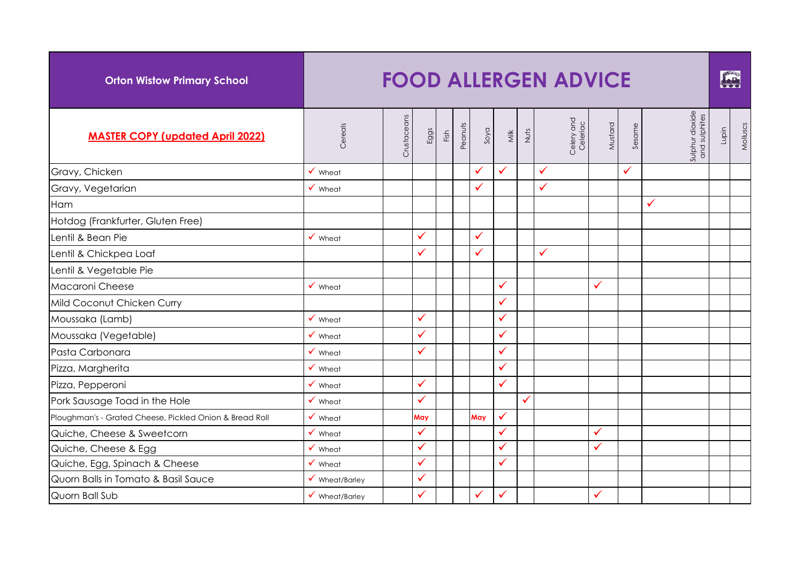| <b>Orton Wistow Primary School</b>                      |                           |             |              |      |         |      |              |      | <b>FOOD ALLERGEN ADVICE</b> |              |              |                                  |       | <b>fig.</b> |
|---------------------------------------------------------|---------------------------|-------------|--------------|------|---------|------|--------------|------|-----------------------------|--------------|--------------|----------------------------------|-------|-------------|
| <b>MASTER COPY (updated April 2022)</b>                 | Cereals                   | Crustaceans | Eggs         | Fish | Peanuts | Soya | Milk         | Nuts | Celery and<br>Celeriac      | Mustard      | Sesame       | Sulphur dioxide<br>and sulphites | Lupin | Molluscs    |
| Gravy, Chicken                                          | $\checkmark$ Wheat        |             |              |      |         | ✓    | ✓            |      | $\checkmark$                |              | $\checkmark$ |                                  |       |             |
| Gravy, Vegetarian                                       | $\checkmark$ Wheat        |             |              |      |         | ✓    |              |      | $\checkmark$                |              |              |                                  |       |             |
| Ham                                                     |                           |             |              |      |         |      |              |      |                             |              |              | $\checkmark$                     |       |             |
| Hotdog (Frankfurter, Gluten Free)                       |                           |             |              |      |         |      |              |      |                             |              |              |                                  |       |             |
| Lentil & Bean Pie                                       | $\checkmark$ Wheat        |             | $\checkmark$ |      |         | ✓    |              |      |                             |              |              |                                  |       |             |
| Lentil & Chickpea Loaf                                  |                           |             | ✓            |      |         | ✓    |              |      | $\checkmark$                |              |              |                                  |       |             |
| Lentil & Vegetable Pie                                  |                           |             |              |      |         |      |              |      |                             |              |              |                                  |       |             |
| Macaroni Cheese                                         | $\checkmark$ Wheat        |             |              |      |         |      | ✓            |      |                             | $\checkmark$ |              |                                  |       |             |
| Mild Coconut Chicken Curry                              |                           |             |              |      |         |      | ✓            |      |                             |              |              |                                  |       |             |
| Moussaka (Lamb)                                         | $\checkmark$ Wheat        |             | ✓            |      |         |      | $\checkmark$ |      |                             |              |              |                                  |       |             |
| Moussaka (Vegetable)                                    | $\checkmark$ Wheat        |             | ✓            |      |         |      | $\checkmark$ |      |                             |              |              |                                  |       |             |
| Pasta Carbonara                                         | $\checkmark$ Wheat        |             | $\checkmark$ |      |         |      | ✓            |      |                             |              |              |                                  |       |             |
| Pizza, Margherita                                       | $\checkmark$ Wheat        |             |              |      |         |      | ✓            |      |                             |              |              |                                  |       |             |
| Pizza, Pepperoni                                        | $\checkmark$ Wheat        |             | $\checkmark$ |      |         |      | $\checkmark$ |      |                             |              |              |                                  |       |             |
| Pork Sausage Toad in the Hole                           | $\checkmark$ Wheat        |             | $\checkmark$ |      |         |      |              | ✓    |                             |              |              |                                  |       |             |
| Ploughman's - Grated Cheese, Pickled Onion & Bread Roll | $\checkmark$ Wheat        |             | May          |      |         | May  | $\checkmark$ |      |                             |              |              |                                  |       |             |
| Quiche, Cheese & Sweetcorn                              | $\checkmark$ Wheat        |             | $\checkmark$ |      |         |      | $\checkmark$ |      |                             | $\checkmark$ |              |                                  |       |             |
| Quiche, Cheese & Egg                                    | $\checkmark$ Wheat        |             | $\checkmark$ |      |         |      | ✓            |      |                             | $\checkmark$ |              |                                  |       |             |
| Quiche, Egg, Spinach & Cheese                           | $\checkmark$ Wheat        |             | $\checkmark$ |      |         |      | $\checkmark$ |      |                             |              |              |                                  |       |             |
| Quorn Balls in Tomato & Basil Sauce                     | $\checkmark$ Wheat/Barley |             | ✓            |      |         |      |              |      |                             |              |              |                                  |       |             |
| Quorn Ball Sub                                          | $\checkmark$ Wheat/Barley |             | ✓            |      |         | ✓    | ✓            |      |                             | $\checkmark$ |              |                                  |       |             |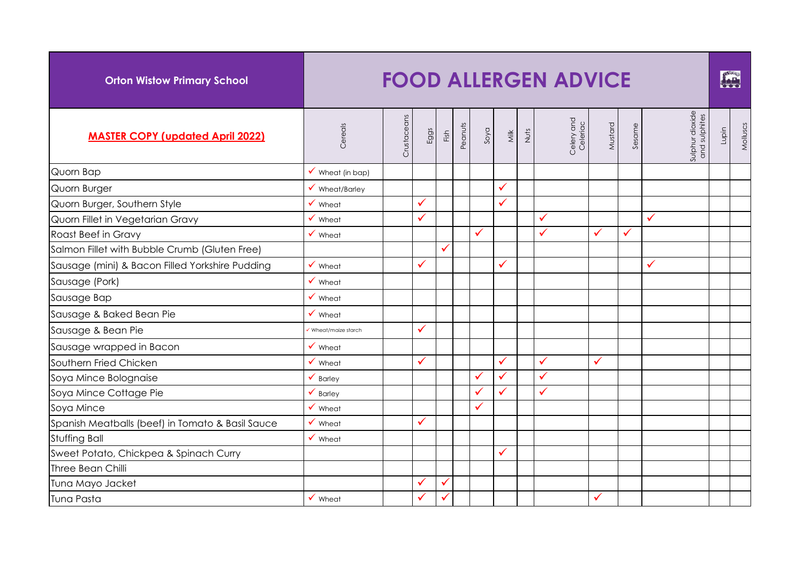| <b>Orton Wistow Primary School</b>               |                             |             |      |      |         |      |              |      | <b>FOOD ALLERGEN ADVICE</b> |              |              |                                  |       | FOR      |
|--------------------------------------------------|-----------------------------|-------------|------|------|---------|------|--------------|------|-----------------------------|--------------|--------------|----------------------------------|-------|----------|
| <b>MASTER COPY (updated April 2022)</b>          | Cereals                     | Crustaceans | Eggs | Fish | Peanuts | soya | <b>Milk</b>  | Nuts | Celery and<br>Celeriac      | Mustard      | Sesame       | Sulphur dioxide<br>and sulphites | Lupin | Molluscs |
| Quorn Bap                                        | $\checkmark$ Wheat (in bap) |             |      |      |         |      |              |      |                             |              |              |                                  |       |          |
| Quorn Burger                                     | $\checkmark$ Wheat/Barley   |             |      |      |         |      | ✓            |      |                             |              |              |                                  |       |          |
| Quorn Burger, Southern Style                     | $\checkmark$ Wheat          |             | ✓    |      |         |      | $\checkmark$ |      |                             |              |              |                                  |       |          |
| Quorn Fillet in Vegetarian Gravy                 | $\checkmark$ Wheat          |             | ✓    |      |         |      |              |      | ✓                           |              |              | ✓                                |       |          |
| Roast Beef in Gravy                              | $\checkmark$ Wheat          |             |      |      |         | ✓    |              |      | $\checkmark$                | $\checkmark$ | $\checkmark$ |                                  |       |          |
| Salmon Fillet with Bubble Crumb (Gluten Free)    |                             |             |      |      |         |      |              |      |                             |              |              |                                  |       |          |
| Sausage (mini) & Bacon Filled Yorkshire Pudding  | $\checkmark$ Wheat          |             | ✓    |      |         |      | ✓            |      |                             |              |              | $\checkmark$                     |       |          |
| Sausage (Pork)                                   | $\checkmark$ Wheat          |             |      |      |         |      |              |      |                             |              |              |                                  |       |          |
| Sausage Bap                                      | $\checkmark$ Wheat          |             |      |      |         |      |              |      |                             |              |              |                                  |       |          |
| Sausage & Baked Bean Pie                         | $\checkmark$ Wheat          |             |      |      |         |      |              |      |                             |              |              |                                  |       |          |
| Sausage & Bean Pie                               | Wheat/maize starch          |             | ✓    |      |         |      |              |      |                             |              |              |                                  |       |          |
| Sausage wrapped in Bacon                         | $\checkmark$ Wheat          |             |      |      |         |      |              |      |                             |              |              |                                  |       |          |
| Southern Fried Chicken                           | $\checkmark$ Wheat          |             | ✓    |      |         |      | $\checkmark$ |      | $\checkmark$                | $\checkmark$ |              |                                  |       |          |
| Soya Mince Bolognaise                            | $\checkmark$ Barley         |             |      |      |         | ✓    | $\checkmark$ |      | $\checkmark$                |              |              |                                  |       |          |
| Soya Mince Cottage Pie                           | $\checkmark$ Barley         |             |      |      |         | ✓    | $\checkmark$ |      | $\checkmark$                |              |              |                                  |       |          |
| Soya Mince                                       | $\checkmark$ Wheat          |             |      |      |         | ✓    |              |      |                             |              |              |                                  |       |          |
| Spanish Meatballs (beef) in Tomato & Basil Sauce | $\checkmark$ Wheat          |             | ✓    |      |         |      |              |      |                             |              |              |                                  |       |          |
| <b>Stuffing Ball</b>                             | $\checkmark$ Wheat          |             |      |      |         |      |              |      |                             |              |              |                                  |       |          |
| Sweet Potato, Chickpea & Spinach Curry           |                             |             |      |      |         |      | $\checkmark$ |      |                             |              |              |                                  |       |          |
| Three Bean Chilli                                |                             |             |      |      |         |      |              |      |                             |              |              |                                  |       |          |
| Tuna Mayo Jacket                                 |                             |             | ✓    | ✓    |         |      |              |      |                             |              |              |                                  |       |          |
| Tuna Pasta                                       | $\checkmark$ Wheat          |             | ✓    | ✓    |         |      |              |      |                             | $\checkmark$ |              |                                  |       |          |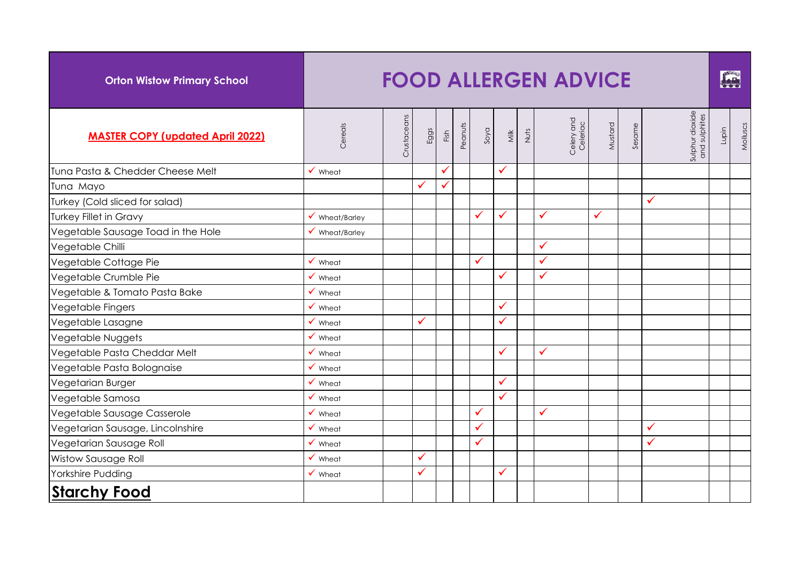| <b>Orton Wistow Primary School</b>      |                           |             |              |      |         |      |             |      | <b>FOOD ALLERGEN ADVICE</b> |              |        |                                  |       | FALL     |
|-----------------------------------------|---------------------------|-------------|--------------|------|---------|------|-------------|------|-----------------------------|--------------|--------|----------------------------------|-------|----------|
| <b>MASTER COPY (updated April 2022)</b> | Cereals                   | Crustaceans | Eggs         | Fish | Peanuts | phos | <b>Milk</b> | Nuts | Celery and<br>Celeriac      | Mustard      | Sesame | Sulphur dioxide<br>and sulphites | Lupin | Molluscs |
| Tuna Pasta & Chedder Cheese Melt        | $\checkmark$ Wheat        |             |              | ✓    |         |      | ✓           |      |                             |              |        |                                  |       |          |
| Tuna Mayo                               |                           |             | $\checkmark$ | ✓    |         |      |             |      |                             |              |        |                                  |       |          |
| Turkey (Cold sliced for salad)          |                           |             |              |      |         |      |             |      |                             |              |        | ✓                                |       |          |
| <b>Turkey Fillet in Gravy</b>           | $\checkmark$ Wheat/Barley |             |              |      |         |      | ✓           |      | ✓                           | $\checkmark$ |        |                                  |       |          |
| Vegetable Sausage Toad in the Hole      | $\checkmark$ Wheat/Barley |             |              |      |         |      |             |      |                             |              |        |                                  |       |          |
| Vegetable Chilli                        |                           |             |              |      |         |      |             |      | $\checkmark$                |              |        |                                  |       |          |
| Vegetable Cottage Pie                   | $\checkmark$ Wheat        |             |              |      |         | ✓    |             |      | $\checkmark$                |              |        |                                  |       |          |
| Vegetable Crumble Pie                   | $\checkmark$ Wheat        |             |              |      |         |      | ✓           |      | $\checkmark$                |              |        |                                  |       |          |
| Vegetable & Tomato Pasta Bake           | Wheat                     |             |              |      |         |      |             |      |                             |              |        |                                  |       |          |
| Vegetable Fingers                       | Wheat                     |             |              |      |         |      | ✓           |      |                             |              |        |                                  |       |          |
| Vegetable Lasagne                       | Wheat                     |             |              |      |         |      | ✓           |      |                             |              |        |                                  |       |          |
| Vegetable Nuggets                       | Wheat                     |             |              |      |         |      |             |      |                             |              |        |                                  |       |          |
| Vegetable Pasta Cheddar Melt            | Wheat                     |             |              |      |         |      | ✓           |      | $\checkmark$                |              |        |                                  |       |          |
| Vegetable Pasta Bolognaise              | Wheat                     |             |              |      |         |      |             |      |                             |              |        |                                  |       |          |
| Vegetarian Burger                       | Wheat                     |             |              |      |         |      | ✓           |      |                             |              |        |                                  |       |          |
| Vegetable Samosa                        | $\checkmark$ Wheat        |             |              |      |         |      | ✓           |      |                             |              |        |                                  |       |          |
| Vegetable Sausage Casserole             | $\checkmark$ Wheat        |             |              |      |         | ✓    |             |      | $\checkmark$                |              |        |                                  |       |          |
| Vegetarian Sausage, Lincolnshire        | $\checkmark$ Wheat        |             |              |      |         |      |             |      |                             |              |        | ✓                                |       |          |
| Vegetarian Sausage Roll                 | $\checkmark$ Wheat        |             |              |      |         | ✓    |             |      |                             |              |        | ✓                                |       |          |
| <b>Wistow Sausage Roll</b>              | $\checkmark$ Wheat        |             | ✓            |      |         |      |             |      |                             |              |        |                                  |       |          |
| Yorkshire Pudding                       | $\checkmark$ Wheat        |             | $\checkmark$ |      |         |      | ✓           |      |                             |              |        |                                  |       |          |
| <b>Starchy Food</b>                     |                           |             |              |      |         |      |             |      |                             |              |        |                                  |       |          |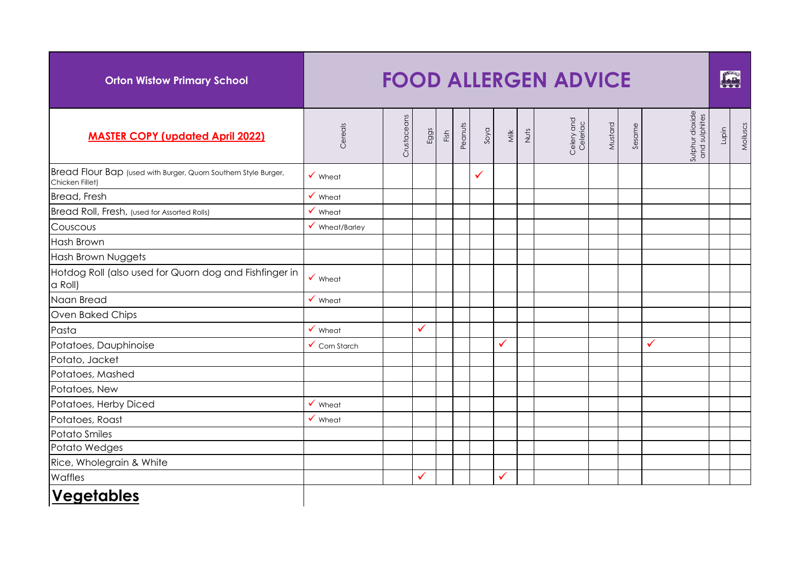| <b>Orton Wistow Primary School</b>                                                 |                           |             |              |      |         |      |                         |      | <b>FOOD ALLERGEN ADVICE</b> |         |        |                                  |       | fre      |
|------------------------------------------------------------------------------------|---------------------------|-------------|--------------|------|---------|------|-------------------------|------|-----------------------------|---------|--------|----------------------------------|-------|----------|
| <b>MASTER COPY (updated April 2022)</b>                                            | Cereals                   | Crustaceans | Eggs         | Fish | Peanuts | soya | $\overline{\mathsf{M}}$ | Nuts | Celery and<br>Celeriac      | Mustard | Sesame | Sulphur dioxide<br>and sulphites | Lupin | Molluscs |
| Bread Flour Bap (used with Burger, Quorn Southern Style Burger,<br>Chicken Fillet) | $\checkmark$ Wheat        |             |              |      |         | ✓    |                         |      |                             |         |        |                                  |       |          |
| Bread, Fresh                                                                       | $\checkmark$ Wheat        |             |              |      |         |      |                         |      |                             |         |        |                                  |       |          |
| Bread Roll, Fresh, (used for Assorted Rolls)                                       | $\checkmark$ Wheat        |             |              |      |         |      |                         |      |                             |         |        |                                  |       |          |
| Couscous                                                                           | $\checkmark$ Wheat/Barley |             |              |      |         |      |                         |      |                             |         |        |                                  |       |          |
| <b>Hash Brown</b>                                                                  |                           |             |              |      |         |      |                         |      |                             |         |        |                                  |       |          |
| Hash Brown Nuggets                                                                 |                           |             |              |      |         |      |                         |      |                             |         |        |                                  |       |          |
| Hotdog Roll (also used for Quorn dog and Fishfinger in<br>a Roll)                  | $\checkmark$ Wheat        |             |              |      |         |      |                         |      |                             |         |        |                                  |       |          |
| Naan Bread                                                                         | $\checkmark$ Wheat        |             |              |      |         |      |                         |      |                             |         |        |                                  |       |          |
| Oven Baked Chips                                                                   |                           |             |              |      |         |      |                         |      |                             |         |        |                                  |       |          |
| Pasta                                                                              | $\checkmark$ Wheat        |             | $\checkmark$ |      |         |      |                         |      |                             |         |        |                                  |       |          |
| Potatoes, Dauphinoise                                                              | $\checkmark$ Corn Starch  |             |              |      |         |      | $\checkmark$            |      |                             |         |        | ✓                                |       |          |
| Potato, Jacket                                                                     |                           |             |              |      |         |      |                         |      |                             |         |        |                                  |       |          |
| Potatoes, Mashed                                                                   |                           |             |              |      |         |      |                         |      |                             |         |        |                                  |       |          |
| Potatoes, New                                                                      |                           |             |              |      |         |      |                         |      |                             |         |        |                                  |       |          |
| Potatoes, Herby Diced                                                              | $\checkmark$ Wheat        |             |              |      |         |      |                         |      |                             |         |        |                                  |       |          |
| Potatoes, Roast                                                                    | $\checkmark$ Wheat        |             |              |      |         |      |                         |      |                             |         |        |                                  |       |          |
| Potato Smiles                                                                      |                           |             |              |      |         |      |                         |      |                             |         |        |                                  |       |          |
| Potato Wedges                                                                      |                           |             |              |      |         |      |                         |      |                             |         |        |                                  |       |          |
| Rice, Wholegrain & White                                                           |                           |             |              |      |         |      |                         |      |                             |         |        |                                  |       |          |
| Waffles                                                                            |                           |             | $\checkmark$ |      |         |      | ✓                       |      |                             |         |        |                                  |       |          |
| <b>Vegetables</b>                                                                  |                           |             |              |      |         |      |                         |      |                             |         |        |                                  |       |          |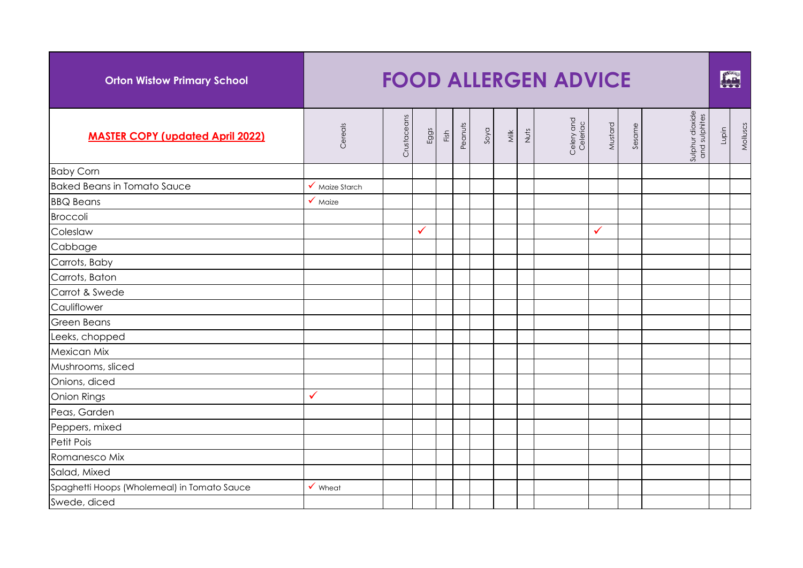| <b>Orton Wistow Primary School</b>          |                    |             |      |      |         |      |      |      | <b>FOOD ALLERGEN ADVICE</b> |              |        |                                  |       | FOR      |
|---------------------------------------------|--------------------|-------------|------|------|---------|------|------|------|-----------------------------|--------------|--------|----------------------------------|-------|----------|
| <b>MASTER COPY (updated April 2022)</b>     | Cereals            | Crustaceans | Eggs | Fish | Peanuts | Soya | Milk | Nuts | Celery and<br>Celeriac      | Mustard      | Sesame | Sulphur dioxide<br>and sulphites | Lupin | Molluscs |
| <b>Baby Corn</b>                            |                    |             |      |      |         |      |      |      |                             |              |        |                                  |       |          |
| <b>Baked Beans in Tomato Sauce</b>          | ✔ Maize Starch     |             |      |      |         |      |      |      |                             |              |        |                                  |       |          |
| <b>BBQ Beans</b>                            | $\checkmark$ Maize |             |      |      |         |      |      |      |                             |              |        |                                  |       |          |
| <b>Broccoli</b>                             |                    |             |      |      |         |      |      |      |                             |              |        |                                  |       |          |
| Coleslaw                                    |                    |             | ✓    |      |         |      |      |      |                             | $\checkmark$ |        |                                  |       |          |
| Cabbage                                     |                    |             |      |      |         |      |      |      |                             |              |        |                                  |       |          |
| Carrots, Baby                               |                    |             |      |      |         |      |      |      |                             |              |        |                                  |       |          |
| Carrots, Baton                              |                    |             |      |      |         |      |      |      |                             |              |        |                                  |       |          |
| Carrot & Swede                              |                    |             |      |      |         |      |      |      |                             |              |        |                                  |       |          |
| Cauliflower                                 |                    |             |      |      |         |      |      |      |                             |              |        |                                  |       |          |
| <b>Green Beans</b>                          |                    |             |      |      |         |      |      |      |                             |              |        |                                  |       |          |
| Leeks, chopped                              |                    |             |      |      |         |      |      |      |                             |              |        |                                  |       |          |
| Mexican Mix                                 |                    |             |      |      |         |      |      |      |                             |              |        |                                  |       |          |
| Mushrooms, sliced                           |                    |             |      |      |         |      |      |      |                             |              |        |                                  |       |          |
| Onions, diced                               |                    |             |      |      |         |      |      |      |                             |              |        |                                  |       |          |
| <b>Onion Rings</b>                          | $\checkmark$       |             |      |      |         |      |      |      |                             |              |        |                                  |       |          |
| Peas, Garden                                |                    |             |      |      |         |      |      |      |                             |              |        |                                  |       |          |
| Peppers, mixed                              |                    |             |      |      |         |      |      |      |                             |              |        |                                  |       |          |
| Petit Pois                                  |                    |             |      |      |         |      |      |      |                             |              |        |                                  |       |          |
| Romanesco Mix                               |                    |             |      |      |         |      |      |      |                             |              |        |                                  |       |          |
| Salad, Mixed                                |                    |             |      |      |         |      |      |      |                             |              |        |                                  |       |          |
| Spaghetti Hoops (Wholemeal) in Tomato Sauce | $\checkmark$ Wheat |             |      |      |         |      |      |      |                             |              |        |                                  |       |          |
| Swede, diced                                |                    |             |      |      |         |      |      |      |                             |              |        |                                  |       |          |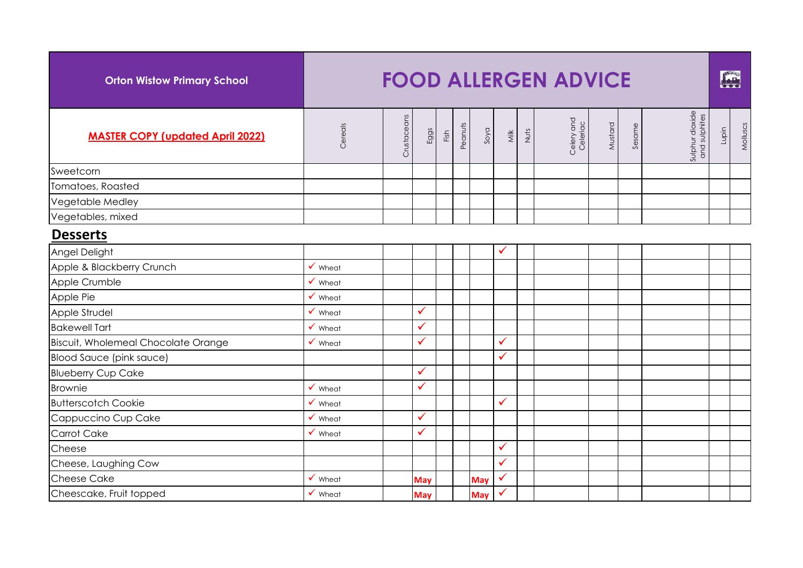| <b>Orton Wistow Primary School</b>         |                    |             |            |      |         |            |              |      | <b>FOOD ALLERGEN ADVICE</b> |         |        |                                  |       | END      |
|--------------------------------------------|--------------------|-------------|------------|------|---------|------------|--------------|------|-----------------------------|---------|--------|----------------------------------|-------|----------|
| <b>MASTER COPY (updated April 2022)</b>    | Cereals            | Crustaceans | Eggs       | Fish | Peanuts | Soya       | Milk         | Nuts | Celery and<br>Celeriac      | Mustard | Sesame | Sulphur dioxide<br>and sulphites | Lupin | Molluscs |
| Sweetcorn                                  |                    |             |            |      |         |            |              |      |                             |         |        |                                  |       |          |
| Tomatoes, Roasted                          |                    |             |            |      |         |            |              |      |                             |         |        |                                  |       |          |
| Vegetable Medley                           |                    |             |            |      |         |            |              |      |                             |         |        |                                  |       |          |
| Vegetables, mixed                          |                    |             |            |      |         |            |              |      |                             |         |        |                                  |       |          |
| <b>Desserts</b>                            |                    |             |            |      |         |            |              |      |                             |         |        |                                  |       |          |
| Angel Delight                              |                    |             |            |      |         |            | $\checkmark$ |      |                             |         |        |                                  |       |          |
| Apple & Blackberry Crunch                  | $\checkmark$ Wheat |             |            |      |         |            |              |      |                             |         |        |                                  |       |          |
| Apple Crumble                              | $\checkmark$ Wheat |             |            |      |         |            |              |      |                             |         |        |                                  |       |          |
| Apple Pie                                  | $\checkmark$ Wheat |             |            |      |         |            |              |      |                             |         |        |                                  |       |          |
| Apple Strudel                              | $\checkmark$ Wheat |             | ✓          |      |         |            |              |      |                             |         |        |                                  |       |          |
| <b>Bakewell Tart</b>                       | $\checkmark$ Wheat |             | ✓          |      |         |            |              |      |                             |         |        |                                  |       |          |
| <b>Biscuit, Wholemeal Chocolate Orange</b> | $\checkmark$ Wheat |             | ✓          |      |         |            | $\checkmark$ |      |                             |         |        |                                  |       |          |
| <b>Blood Sauce (pink sauce)</b>            |                    |             |            |      |         |            | $\checkmark$ |      |                             |         |        |                                  |       |          |
| <b>Blueberry Cup Cake</b>                  |                    |             | ✓          |      |         |            |              |      |                             |         |        |                                  |       |          |
| <b>Brownie</b>                             | $\checkmark$ Wheat |             | ✓          |      |         |            |              |      |                             |         |        |                                  |       |          |
| <b>Butterscotch Cookie</b>                 | $\checkmark$ Wheat |             |            |      |         |            | $\checkmark$ |      |                             |         |        |                                  |       |          |
| Cappuccino Cup Cake                        | $\checkmark$ Wheat |             | ✓          |      |         |            |              |      |                             |         |        |                                  |       |          |
| <b>Carrot Cake</b>                         | $\checkmark$ Wheat |             | ✓          |      |         |            |              |      |                             |         |        |                                  |       |          |
| Cheese                                     |                    |             |            |      |         |            | $\checkmark$ |      |                             |         |        |                                  |       |          |
| Cheese, Laughing Cow                       |                    |             |            |      |         |            | $\checkmark$ |      |                             |         |        |                                  |       |          |
| <b>Cheese Cake</b>                         | $\checkmark$ Wheat |             | <b>May</b> |      |         | May        | $\checkmark$ |      |                             |         |        |                                  |       |          |
| Cheescake, Fruit topped                    | $\checkmark$ Wheat |             | <b>May</b> |      |         | <b>May</b> | $\checkmark$ |      |                             |         |        |                                  |       |          |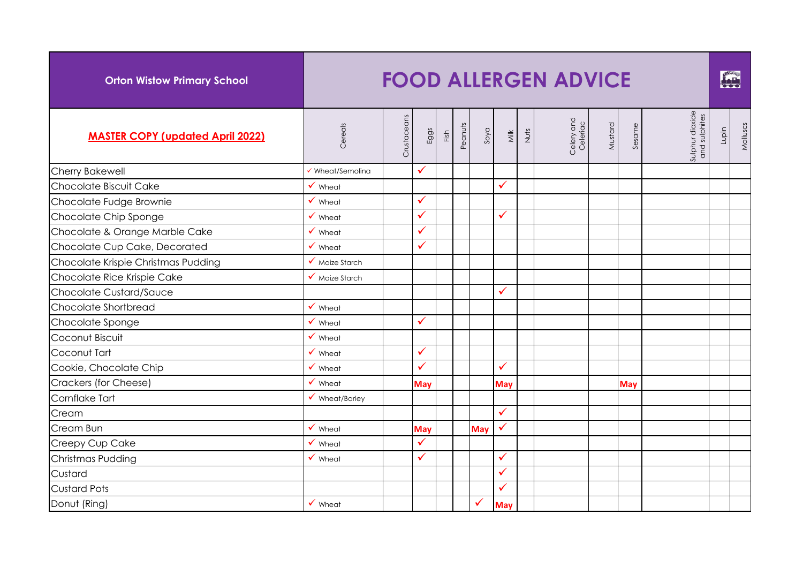| <b>Orton Wistow Primary School</b>      |                                   |             |              |      |         |            |              |      | <b>FOOD ALLERGEN ADVICE</b> |         |            |                                  |       | FAR      |
|-----------------------------------------|-----------------------------------|-------------|--------------|------|---------|------------|--------------|------|-----------------------------|---------|------------|----------------------------------|-------|----------|
| <b>MASTER COPY (updated April 2022)</b> | Cereals                           | Crustaceans | Eggs         | Fish | Peanuts | Soya       | <b>Milk</b>  | Nuts | Celery and<br>Celeriac      | Mustard | Sesame     | Sulphur dioxide<br>and sulphites | Lupin | Molluscs |
| <b>Cherry Bakewell</b>                  | ✔ Wheat/Semolina                  |             | $\checkmark$ |      |         |            |              |      |                             |         |            |                                  |       |          |
| Chocolate Biscuit Cake                  | $\checkmark$ Wheat                |             |              |      |         |            | $\checkmark$ |      |                             |         |            |                                  |       |          |
| Chocolate Fudge Brownie                 | $\checkmark$ Wheat                |             | $\checkmark$ |      |         |            |              |      |                             |         |            |                                  |       |          |
| Chocolate Chip Sponge                   | $\checkmark$ Wheat                |             | $\checkmark$ |      |         |            | $\checkmark$ |      |                             |         |            |                                  |       |          |
| Chocolate & Orange Marble Cake          | $\checkmark$ Wheat                |             | $\checkmark$ |      |         |            |              |      |                             |         |            |                                  |       |          |
| Chocolate Cup Cake, Decorated           | $\checkmark$ Wheat                |             | $\checkmark$ |      |         |            |              |      |                             |         |            |                                  |       |          |
| Chocolate Krispie Christmas Pudding     | $\sqrt{\phantom{a}}$ Maize Starch |             |              |      |         |            |              |      |                             |         |            |                                  |       |          |
| Chocolate Rice Krispie Cake             | $\checkmark$ Maize Starch         |             |              |      |         |            |              |      |                             |         |            |                                  |       |          |
| Chocolate Custard/Sauce                 |                                   |             |              |      |         |            | $\checkmark$ |      |                             |         |            |                                  |       |          |
| Chocolate Shortbread                    | $\checkmark$ Wheat                |             |              |      |         |            |              |      |                             |         |            |                                  |       |          |
| Chocolate Sponge                        | $\checkmark$ Wheat                |             | $\checkmark$ |      |         |            |              |      |                             |         |            |                                  |       |          |
| Coconut Biscuit                         | $\checkmark$ Wheat                |             |              |      |         |            |              |      |                             |         |            |                                  |       |          |
| Coconut Tart                            | $\checkmark$ Wheat                |             | $\checkmark$ |      |         |            |              |      |                             |         |            |                                  |       |          |
| Cookie, Chocolate Chip                  | $\checkmark$ Wheat                |             | ✓            |      |         |            | $\checkmark$ |      |                             |         |            |                                  |       |          |
| Crackers (for Cheese)                   | $\checkmark$ Wheat                |             | May          |      |         |            | <b>May</b>   |      |                             |         | <b>May</b> |                                  |       |          |
| Cornflake Tart                          | $\checkmark$ Wheat/Barley         |             |              |      |         |            |              |      |                             |         |            |                                  |       |          |
| Cream                                   |                                   |             |              |      |         |            | $\checkmark$ |      |                             |         |            |                                  |       |          |
| Cream Bun                               | $\checkmark$ Wheat                |             | <b>May</b>   |      |         | <b>May</b> | $\checkmark$ |      |                             |         |            |                                  |       |          |
| Creepy Cup Cake                         | $\checkmark$ Wheat                |             | $\checkmark$ |      |         |            |              |      |                             |         |            |                                  |       |          |
| Christmas Pudding                       | $\checkmark$ Wheat                |             | $\checkmark$ |      |         |            | $\checkmark$ |      |                             |         |            |                                  |       |          |
| Custard                                 |                                   |             |              |      |         |            | $\checkmark$ |      |                             |         |            |                                  |       |          |
| <b>Custard Pots</b>                     |                                   |             |              |      |         |            | $\checkmark$ |      |                             |         |            |                                  |       |          |
| Donut (Ring)                            | $\checkmark$ Wheat                |             |              |      |         | ✓          | <b>May</b>   |      |                             |         |            |                                  |       |          |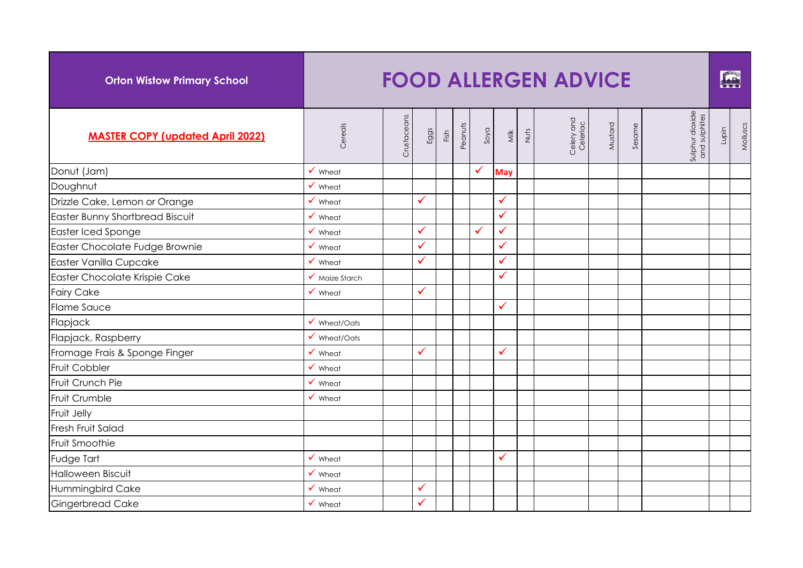| <b>Orton Wistow Primary School</b>      |                           |             |              |      |         |      |              |      | <b>FOOD ALLERGEN ADVICE</b> |         |        |                                  |       | FOR      |
|-----------------------------------------|---------------------------|-------------|--------------|------|---------|------|--------------|------|-----------------------------|---------|--------|----------------------------------|-------|----------|
| <b>MASTER COPY (updated April 2022)</b> | Cereals                   | Crustaceans | Eggs         | Fish | Peanuts | Soya | <b>Milk</b>  | Nuts | Celery and<br>Celeriac      | Mustard | Sesame | Sulphur dioxide<br>and sulphites | Lupin | Molluscs |
| Donut (Jam)                             | $\checkmark$ Wheat        |             |              |      |         |      | <b>May</b>   |      |                             |         |        |                                  |       |          |
| Doughnut                                | $\checkmark$ Wheat        |             |              |      |         |      |              |      |                             |         |        |                                  |       |          |
| Drizzle Cake, Lemon or Orange           | $\checkmark$ Wheat        |             | ✓            |      |         |      | $\checkmark$ |      |                             |         |        |                                  |       |          |
| Easter Bunny Shortbread Biscuit         | $\checkmark$ Wheat        |             |              |      |         |      | $\checkmark$ |      |                             |         |        |                                  |       |          |
| Easter Iced Sponge                      | $\checkmark$ Wheat        |             | ✓            |      |         | ✓    | $\checkmark$ |      |                             |         |        |                                  |       |          |
| Easter Chocolate Fudge Brownie          | $\checkmark$ Wheat        |             | ✓            |      |         |      | $\checkmark$ |      |                             |         |        |                                  |       |          |
| Easter Vanilla Cupcake                  | $\checkmark$ Wheat        |             | ✓            |      |         |      | $\checkmark$ |      |                             |         |        |                                  |       |          |
| Easter Chocolate Krispie Cake           | $\checkmark$ Maize Starch |             |              |      |         |      | $\checkmark$ |      |                             |         |        |                                  |       |          |
| <b>Fairy Cake</b>                       | $\checkmark$ Wheat        |             | ✓            |      |         |      |              |      |                             |         |        |                                  |       |          |
| <b>Flame Sauce</b>                      |                           |             |              |      |         |      | $\checkmark$ |      |                             |         |        |                                  |       |          |
| Flapjack                                | $\checkmark$ Wheat/Oats   |             |              |      |         |      |              |      |                             |         |        |                                  |       |          |
| Flapjack, Raspberry                     | $\checkmark$ Wheat/Oats   |             |              |      |         |      |              |      |                             |         |        |                                  |       |          |
| Fromage Frais & Sponge Finger           | $\checkmark$ Wheat        |             | ✓            |      |         |      | ✓            |      |                             |         |        |                                  |       |          |
| <b>Fruit Cobbler</b>                    | $\checkmark$ Wheat        |             |              |      |         |      |              |      |                             |         |        |                                  |       |          |
| Fruit Crunch Pie                        | $\checkmark$ Wheat        |             |              |      |         |      |              |      |                             |         |        |                                  |       |          |
| Fruit Crumble                           | $\checkmark$ Wheat        |             |              |      |         |      |              |      |                             |         |        |                                  |       |          |
| Fruit Jelly                             |                           |             |              |      |         |      |              |      |                             |         |        |                                  |       |          |
| Fresh Fruit Salad                       |                           |             |              |      |         |      |              |      |                             |         |        |                                  |       |          |
| Fruit Smoothie                          |                           |             |              |      |         |      |              |      |                             |         |        |                                  |       |          |
| Fudge Tart                              | $\checkmark$ Wheat        |             |              |      |         |      | $\checkmark$ |      |                             |         |        |                                  |       |          |
| <b>Halloween Biscuit</b>                | $\checkmark$ Wheat        |             |              |      |         |      |              |      |                             |         |        |                                  |       |          |
| Hummingbird Cake                        | $\checkmark$ Wheat        |             | $\checkmark$ |      |         |      |              |      |                             |         |        |                                  |       |          |
| <b>Gingerbread Cake</b>                 | $\checkmark$ Wheat        |             | ✓            |      |         |      |              |      |                             |         |        |                                  |       |          |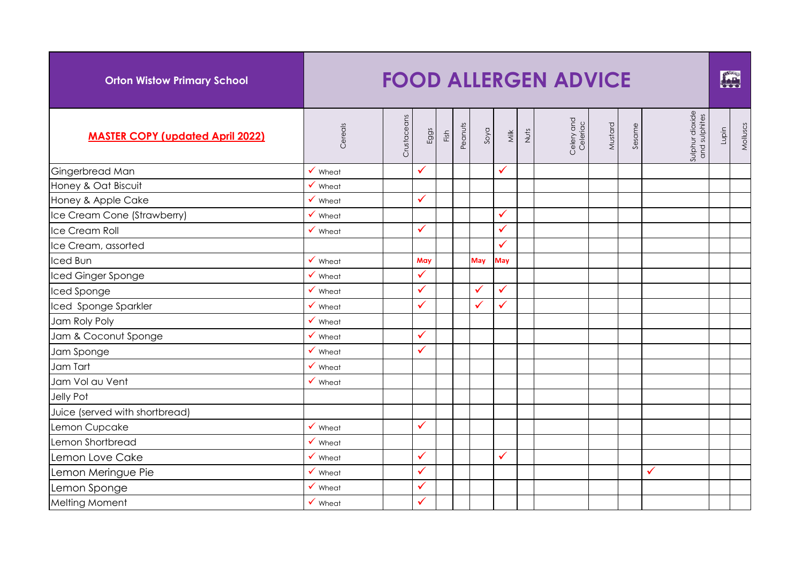| <b>Orton Wistow Primary School</b>      |                    |             |              |      |         |      |              |      | <b>FOOD ALLERGEN ADVICE</b> |         |        |                                  |       | FAR      |
|-----------------------------------------|--------------------|-------------|--------------|------|---------|------|--------------|------|-----------------------------|---------|--------|----------------------------------|-------|----------|
| <b>MASTER COPY (updated April 2022)</b> | Cereals            | Crustaceans | Eggs         | Fish | Peanuts | Soya | <b>Milk</b>  | Nuts | Celery and<br>Celeriac      | Mustard | Sesame | Sulphur dioxide<br>and sulphites | Lupin | Molluscs |
| Gingerbread Man                         | $\checkmark$ Wheat |             | ✓            |      |         |      | $\checkmark$ |      |                             |         |        |                                  |       |          |
| Honey & Oat Biscuit                     | $\checkmark$ Wheat |             |              |      |         |      |              |      |                             |         |        |                                  |       |          |
| Honey & Apple Cake                      | $\checkmark$ Wheat |             | ✓            |      |         |      |              |      |                             |         |        |                                  |       |          |
| Ice Cream Cone (Strawberry)             | $\checkmark$ Wheat |             |              |      |         |      | $\checkmark$ |      |                             |         |        |                                  |       |          |
| Ice Cream Roll                          | $\checkmark$ Wheat |             | ✓            |      |         |      | $\checkmark$ |      |                             |         |        |                                  |       |          |
| Ice Cream, assorted                     |                    |             |              |      |         |      | $\checkmark$ |      |                             |         |        |                                  |       |          |
| <b>Iced Bun</b>                         | $\checkmark$ Wheat |             | May          |      |         | May  | May          |      |                             |         |        |                                  |       |          |
| Iced Ginger Sponge                      | $\checkmark$ Wheat |             | ✓            |      |         |      |              |      |                             |         |        |                                  |       |          |
| Iced Sponge                             | $\checkmark$ Wheat |             | ✓            |      |         | ✓    | $\checkmark$ |      |                             |         |        |                                  |       |          |
| Iced Sponge Sparkler                    | $\checkmark$ Wheat |             | ✓            |      |         | ✓    | $\checkmark$ |      |                             |         |        |                                  |       |          |
| Jam Roly Poly                           | $\checkmark$ Wheat |             |              |      |         |      |              |      |                             |         |        |                                  |       |          |
| Jam & Coconut Sponge                    | Wheat              |             | ✓            |      |         |      |              |      |                             |         |        |                                  |       |          |
| Jam Sponge                              | $\checkmark$ Wheat |             | ✓            |      |         |      |              |      |                             |         |        |                                  |       |          |
| Jam Tart                                | $\checkmark$ Wheat |             |              |      |         |      |              |      |                             |         |        |                                  |       |          |
| Jam Vol au Vent                         | $\checkmark$ Wheat |             |              |      |         |      |              |      |                             |         |        |                                  |       |          |
| Jelly Pot                               |                    |             |              |      |         |      |              |      |                             |         |        |                                  |       |          |
| Juice (served with shortbread)          |                    |             |              |      |         |      |              |      |                             |         |        |                                  |       |          |
| Lemon Cupcake                           | $\checkmark$ Wheat |             | ✓            |      |         |      |              |      |                             |         |        |                                  |       |          |
| Lemon Shortbread                        | $\checkmark$ Wheat |             |              |      |         |      |              |      |                             |         |        |                                  |       |          |
| Lemon Love Cake                         | $\checkmark$ Wheat |             | ✓            |      |         |      | $\checkmark$ |      |                             |         |        |                                  |       |          |
| Lemon Meringue Pie                      | $\checkmark$ Wheat |             | $\checkmark$ |      |         |      |              |      |                             |         |        | $\checkmark$                     |       |          |
| Lemon Sponge                            | $\checkmark$ Wheat |             | ✓            |      |         |      |              |      |                             |         |        |                                  |       |          |
| Melting Moment                          | $\checkmark$ Wheat |             | ✓            |      |         |      |              |      |                             |         |        |                                  |       |          |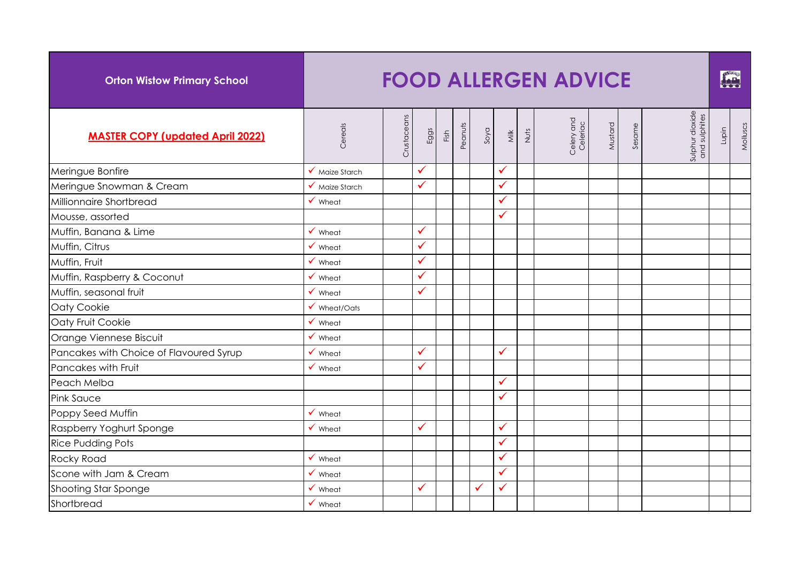| <b>Orton Wistow Primary School</b>      |                         |             |      |      |         |      |              |      | <b>FOOD ALLERGEN ADVICE</b> |         |        |                                  |       | <b>FAR</b> |
|-----------------------------------------|-------------------------|-------------|------|------|---------|------|--------------|------|-----------------------------|---------|--------|----------------------------------|-------|------------|
| <b>MASTER COPY (updated April 2022)</b> | Cereals                 | Crustaceans | Eggs | Fish | Peanuts | Soya | <b>Milk</b>  | Nuts | Celery and<br>Celeriac      | Mustard | Sesame | Sulphur dioxide<br>and sulphites | Lupin | Molluscs   |
| Meringue Bonfire                        | ✔ Maize Starch          |             | ✓    |      |         |      | $\checkmark$ |      |                             |         |        |                                  |       |            |
| Meringue Snowman & Cream                | ✔ Maize Starch          |             | ✓    |      |         |      | $\checkmark$ |      |                             |         |        |                                  |       |            |
| Millionnaire Shortbread                 | $\checkmark$ Wheat      |             |      |      |         |      | $\checkmark$ |      |                             |         |        |                                  |       |            |
| Mousse, assorted                        |                         |             |      |      |         |      | $\checkmark$ |      |                             |         |        |                                  |       |            |
| Muffin, Banana & Lime                   | $\checkmark$ Wheat      |             | ✓    |      |         |      |              |      |                             |         |        |                                  |       |            |
| Muffin, Citrus                          | $\checkmark$ Wheat      |             | ✓    |      |         |      |              |      |                             |         |        |                                  |       |            |
| Muffin, Fruit                           | $\checkmark$ Wheat      |             | ✓    |      |         |      |              |      |                             |         |        |                                  |       |            |
| Muffin, Raspberry & Coconut             | $\checkmark$ Wheat      |             | ✓    |      |         |      |              |      |                             |         |        |                                  |       |            |
| Muffin, seasonal fruit                  | $\checkmark$ Wheat      |             | ✓    |      |         |      |              |      |                             |         |        |                                  |       |            |
| Oaty Cookie                             | $\checkmark$ Wheat/Oats |             |      |      |         |      |              |      |                             |         |        |                                  |       |            |
| Oaty Fruit Cookie                       | $\checkmark$ Wheat      |             |      |      |         |      |              |      |                             |         |        |                                  |       |            |
| Orange Viennese Biscuit                 | $\checkmark$ Wheat      |             |      |      |         |      |              |      |                             |         |        |                                  |       |            |
| Pancakes with Choice of Flavoured Syrup | $\checkmark$ Wheat      |             | ✓    |      |         |      | $\checkmark$ |      |                             |         |        |                                  |       |            |
| Pancakes with Fruit                     | $\checkmark$ Wheat      |             | ✓    |      |         |      |              |      |                             |         |        |                                  |       |            |
| Peach Melba                             |                         |             |      |      |         |      | $\checkmark$ |      |                             |         |        |                                  |       |            |
| <b>Pink Sauce</b>                       |                         |             |      |      |         |      | ✓            |      |                             |         |        |                                  |       |            |
| Poppy Seed Muffin                       | $\checkmark$ Wheat      |             |      |      |         |      |              |      |                             |         |        |                                  |       |            |
| Raspberry Yoghurt Sponge                | $\checkmark$ Wheat      |             | ✓    |      |         |      | $\checkmark$ |      |                             |         |        |                                  |       |            |
| <b>Rice Pudding Pots</b>                |                         |             |      |      |         |      | $\checkmark$ |      |                             |         |        |                                  |       |            |
| <b>Rocky Road</b>                       | $\checkmark$ Wheat      |             |      |      |         |      | $\checkmark$ |      |                             |         |        |                                  |       |            |
| Scone with Jam & Cream                  | $\checkmark$ Wheat      |             |      |      |         |      | $\checkmark$ |      |                             |         |        |                                  |       |            |
| Shooting Star Sponge                    | $\checkmark$ Wheat      |             | ✓    |      |         | ✓    | $\checkmark$ |      |                             |         |        |                                  |       |            |
| Shortbread                              | $\checkmark$ Wheat      |             |      |      |         |      |              |      |                             |         |        |                                  |       |            |